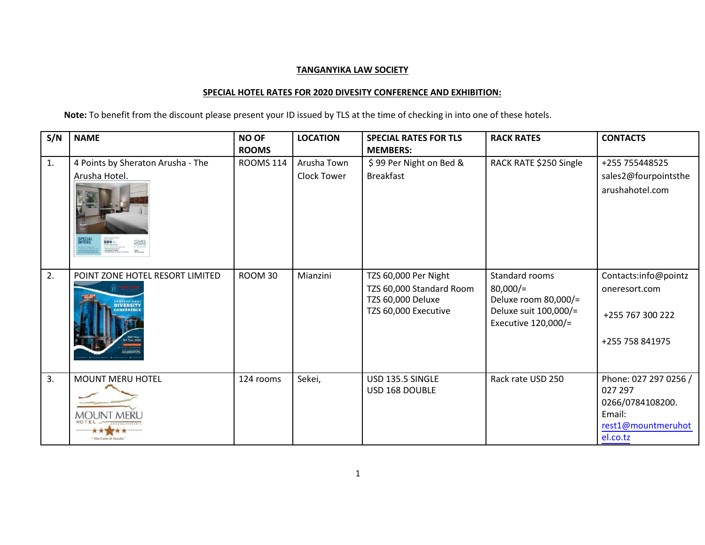## **TANGANYIKA LAW SOCIETY**

## **SPECIAL HOTEL RATES FOR 2020 DIVESITY CONFERENCE AND EXHIBITION:**

**Note:** To benefit from the discount please present your ID issued by TLS at the time of checking in into one of these hotels.

| S/N | <b>NAME</b>                                   | <b>NO OF</b>     | <b>LOCATION</b>    | <b>SPECIAL RATES FOR TLS</b> | <b>RACK RATES</b>                              | <b>CONTACTS</b>            |
|-----|-----------------------------------------------|------------------|--------------------|------------------------------|------------------------------------------------|----------------------------|
|     |                                               | <b>ROOMS</b>     |                    | <b>MEMBERS:</b>              |                                                |                            |
| 1.  | 4 Points by Sheraton Arusha - The             | <b>ROOMS 114</b> | Arusha Town        | \$99 Per Night on Bed &      | RACK RATE \$250 Single                         | +255 755448525             |
|     | Arusha Hotel.                                 |                  | <b>Clock Tower</b> | <b>Breakfast</b>             |                                                | sales2@fourpointsthe       |
|     | FOUR <sup>N</sup><br><b>OFFERS</b><br>$$99 -$ |                  |                    |                              |                                                | arushahotel.com            |
| 2.  | POINT ZONE HOTEL RESORT LIMITED               | ROOM 30          | Mianzini           | TZS 60,000 Per Night         | Standard rooms                                 | Contacts:info@pointz       |
|     |                                               |                  |                    | TZS 60,000 Standard Room     | $80,000/$ =                                    | oneresort.com              |
|     | <b>DIVERSITY</b>                              |                  |                    | TZS 60,000 Deluxe            | Deluxe room 80,000/=                           |                            |
|     |                                               |                  |                    | TZS 60,000 Executive         | Deluxe suit 100,000/=<br>Executive $120,000/=$ | +255 767 300 222           |
|     | 0.000179                                      |                  |                    |                              |                                                | +255 758 841975            |
|     |                                               |                  |                    |                              |                                                |                            |
| 3.  | <b>MOUNT MERU HOTEL</b>                       | 124 rooms        | Sekei,             | USD 135.5 SINGLE             | Rack rate USD 250                              | Phone: 027 297 0256 /      |
|     |                                               |                  |                    | USD 168 DOUBLE               |                                                | 027 297                    |
|     | MOUNT MERI                                    |                  |                    |                              |                                                | 0266/0784108200.<br>Email: |
|     |                                               |                  |                    |                              |                                                | rest1@mountmeruhot         |
|     | "The Gem of Arusha"                           |                  |                    |                              |                                                | el.co.tz                   |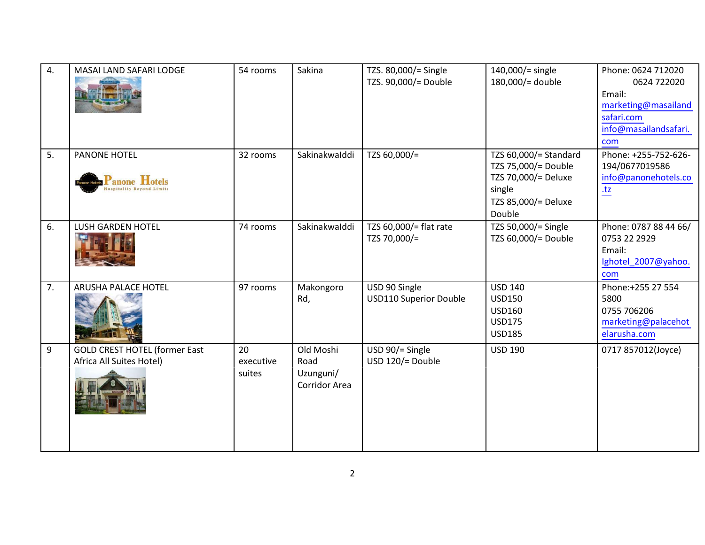| 4. | MASAI LAND SAFARI LODGE                                          | 54 rooms                  | Sakina                                          | TZS. 80,000/= Single<br>TZS. 90,000/= Double   | 140,000/= single<br>180,000/= double                                                                           | Phone: 0624 712020<br>0624 722020<br>Email:<br>marketing@masailand<br>safari.com<br>info@masailandsafari.<br>com |
|----|------------------------------------------------------------------|---------------------------|-------------------------------------------------|------------------------------------------------|----------------------------------------------------------------------------------------------------------------|------------------------------------------------------------------------------------------------------------------|
| 5. | <b>PANONE HOTEL</b><br><b>Panone Hotels</b>                      | 32 rooms                  | Sakinakwalddi                                   | TZS 60,000/=                                   | TZS 60,000/= Standard<br>TZS 75,000/= Double<br>TZS 70,000/= Deluxe<br>single<br>TZS 85,000/= Deluxe<br>Double | Phone: +255-752-626-<br>194/0677019586<br>info@panonehotels.co<br>$tz$                                           |
| 6. | <b>LUSH GARDEN HOTEL</b>                                         | 74 rooms                  | Sakinakwalddi                                   | TZS 60,000/= flat rate<br>TZS 70,000/=         | TZS 50,000/= Single<br>TZS 60,000/= Double                                                                     | Phone: 0787 88 44 66/<br>0753 22 2929<br>Email:<br>Ighotel_2007@yahoo.<br>com                                    |
| 7. | <b>ARUSHA PALACE HOTEL</b>                                       | 97 rooms                  | Makongoro<br>Rd,                                | USD 90 Single<br><b>USD110 Superior Double</b> | <b>USD 140</b><br><b>USD150</b><br><b>USD160</b><br><b>USD175</b><br><b>USD185</b>                             | Phone:+255 27 554<br>5800<br>0755 706206<br>marketing@palacehot<br>elarusha.com                                  |
| 9  | <b>GOLD CREST HOTEL (former East</b><br>Africa All Suites Hotel) | 20<br>executive<br>suites | Old Moshi<br>Road<br>Uzunguni/<br>Corridor Area | USD 90/= Single<br>USD 120/= Double            | <b>USD 190</b>                                                                                                 | 0717 857012(Joyce)                                                                                               |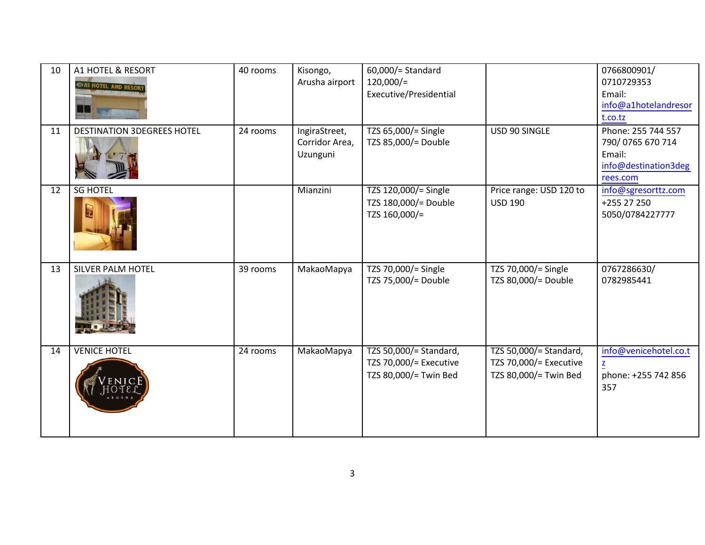| 10 | A1 HOTEL & RESORT<br>A1 HOTEL AND RESO | 40 rooms | Kisongo,<br>Arusha airport                  | 60,000/= Standard<br>$120,000/=$<br>Executive/Presidential                |                                                                           | 0766800901/<br>0710729353<br>Email:<br>info@a1hotelandresor<br>t.co.tz               |
|----|----------------------------------------|----------|---------------------------------------------|---------------------------------------------------------------------------|---------------------------------------------------------------------------|--------------------------------------------------------------------------------------|
| 11 | <b>DESTINATION 3DEGREES HOTEL</b>      | 24 rooms | IngiraStreet,<br>Corridor Area,<br>Uzunguni | TZS 65,000/= Single<br>TZS 85,000/= Double                                | USD 90 SINGLE                                                             | Phone: 255 744 557<br>790/0765 670 714<br>Email:<br>info@destination3deg<br>rees.com |
| 12 | <b>SG HOTEL</b><br><b>September</b>    |          | Mianzini                                    | TZS 120,000/= Single<br>TZS 180,000/= Double<br>TZS 160,000/=             | Price range: USD 120 to<br><b>USD 190</b>                                 | info@sgresorttz.com<br>+255 27 250<br>5050/0784227777                                |
| 13 | SILVER PALM HOTEL                      | 39 rooms | MakaoMapya                                  | TZS 70,000/= Single<br>TZS 75,000/= Double                                | TZS 70,000/= Single<br>TZS 80,000/= Double                                | 0767286630/<br>0782985441                                                            |
| 14 | <b>VENICE HOTEL</b>                    | 24 rooms | <b>MakaoMapya</b>                           | TZS 50,000/= Standard,<br>TZS 70,000/= Executive<br>TZS 80,000/= Twin Bed | TZS 50,000/= Standard,<br>TZS 70,000/= Executive<br>TZS 80,000/= Twin Bed | info@venicehotel.co.t<br>$\overline{z}$<br>phone: +255 742 856<br>357                |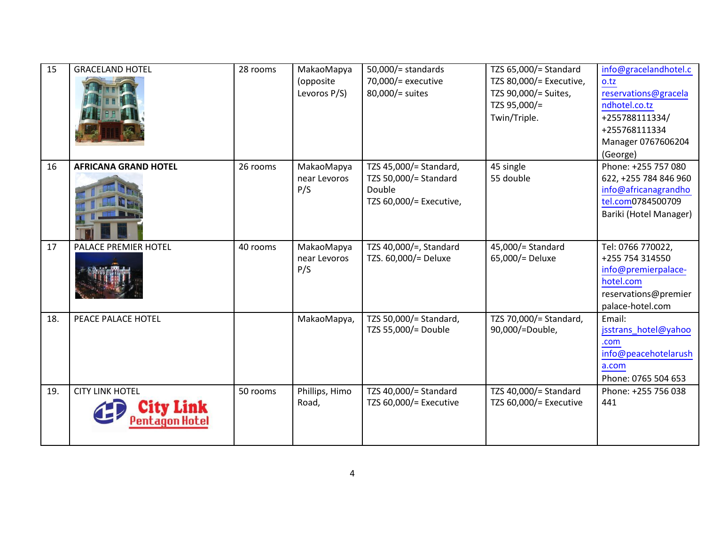| 15  | <b>GRACELAND HOTEL</b>      | 28 rooms | MakaoMapya<br>(opposite<br>Levoros P/S) | $50,000/$ = standards<br>70,000/= executive<br>80,000/= suites                       | TZS 65,000/= Standard<br>TZS 80,000/= Executive,<br>TZS 90,000/= Suites,<br>TZS 95,000/=<br>Twin/Triple. | info@gracelandhotel.c<br>o.tz<br>reservations@gracela<br>ndhotel.co.tz<br>+255788111334/<br>+255768111334<br>Manager 0767606204<br>(George) |
|-----|-----------------------------|----------|-----------------------------------------|--------------------------------------------------------------------------------------|----------------------------------------------------------------------------------------------------------|---------------------------------------------------------------------------------------------------------------------------------------------|
| 16  | <b>AFRICANA GRAND HOTEL</b> | 26 rooms | MakaoMapya<br>near Levoros<br>P/S       | TZS 45,000/= Standard,<br>TZS 50,000/= Standard<br>Double<br>TZS 60,000/= Executive, | 45 single<br>55 double                                                                                   | Phone: +255 757 080<br>622, +255 784 846 960<br>info@africanagrandho<br>tel.com0784500709<br>Bariki (Hotel Manager)                         |
| 17  | PALACE PREMIER HOTEL        | 40 rooms | MakaoMapya<br>near Levoros<br>P/S       | TZS 40,000/=, Standard<br>TZS. 60,000/= Deluxe                                       | 45,000/= Standard<br>65,000/= Deluxe                                                                     | Tel: 0766 770022,<br>+255 754 314550<br>info@premierpalace-<br>hotel.com<br>reservations@premier<br>palace-hotel.com                        |
| 18. | PEACE PALACE HOTEL          |          | MakaoMapya,                             | TZS 50,000/= Standard,<br>TZS 55,000/= Double                                        | TZS 70,000/= Standard,<br>90,000/=Double,                                                                | Email:<br>jsstrans_hotel@yahoo<br>.com<br>info@peacehotelarush<br>a.com<br>Phone: 0765 504 653                                              |
| 19. | <b>CITY LINK HOTEL</b>      | 50 rooms | Phillips, Himo<br>Road,                 | TZS 40,000/= Standard<br>TZS 60,000/= Executive                                      | TZS 40,000/= Standard<br>TZS 60,000/= Executive                                                          | Phone: +255 756 038<br>441                                                                                                                  |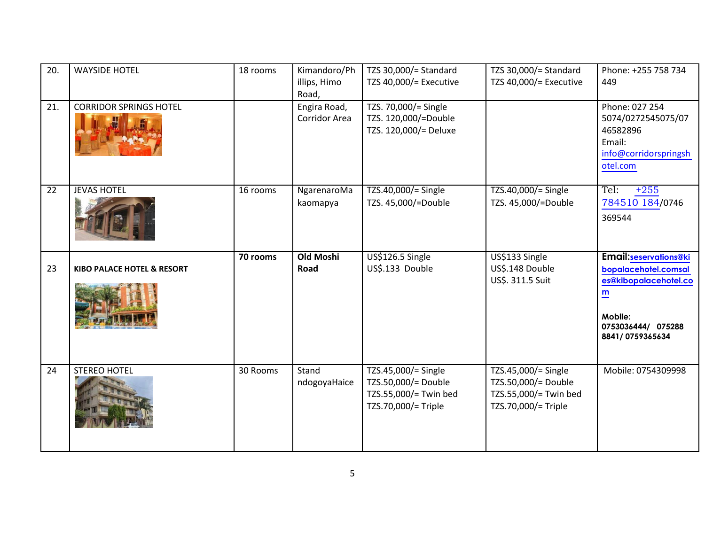| 20.             | <b>WAYSIDE HOTEL</b>                  | 18 rooms | Kimandoro/Ph<br>illips, Himo<br>Road, | TZS 30,000/= Standard<br>TZS 40,000/= Executive                                            | TZS 30,000/= Standard<br>TZS 40,000/= Executive                                            | Phone: +255 758 734<br>449                                                                                                                                    |
|-----------------|---------------------------------------|----------|---------------------------------------|--------------------------------------------------------------------------------------------|--------------------------------------------------------------------------------------------|---------------------------------------------------------------------------------------------------------------------------------------------------------------|
| 21.             | <b>CORRIDOR SPRINGS HOTEL</b>         |          | Engira Road,<br>Corridor Area         | TZS. 70,000/= Single<br>TZS. 120,000/=Double<br>TZS. 120,000/= Deluxe                      |                                                                                            | Phone: 027 254<br>5074/0272545075/07<br>46582896<br>Email:<br>info@corridorspringsh<br>otel.com                                                               |
| $\overline{22}$ | <b>JEVAS HOTEL</b>                    | 16 rooms | NgarenaroMa<br>kaomapya               | TZS.40,000/= Single<br>TZS. 45,000/=Double                                                 | TZS.40,000/= Single<br>TZS. 45,000/=Double                                                 | $+255$<br>Tel:<br>784510 184/0746<br>369544                                                                                                                   |
| 23              | <b>KIBO PALACE HOTEL &amp; RESORT</b> | 70 rooms | <b>Old Moshi</b><br>Road              | US\$126.5 Single<br>US\$.133 Double                                                        | US\$133 Single<br>US\$.148 Double<br>US\$. 311.5 Suit                                      | <b>Email:seservations@ki</b><br>bopalacehotel.comsal<br>es@kibopalacehotel.co<br>$\underline{\mathbf{m}}$<br>Mobile:<br>0753036444/ 075288<br>8841/0759365634 |
| 24              | <b>STEREO HOTEL</b>                   | 30 Rooms | Stand<br>ndogoyaHaice                 | TZS.45,000/= Single<br>TZS.50,000/= Double<br>TZS.55,000/= Twin bed<br>TZS.70,000/= Triple | TZS.45,000/= Single<br>TZS.50,000/= Double<br>TZS.55,000/= Twin bed<br>TZS.70,000/= Triple | Mobile: 0754309998                                                                                                                                            |